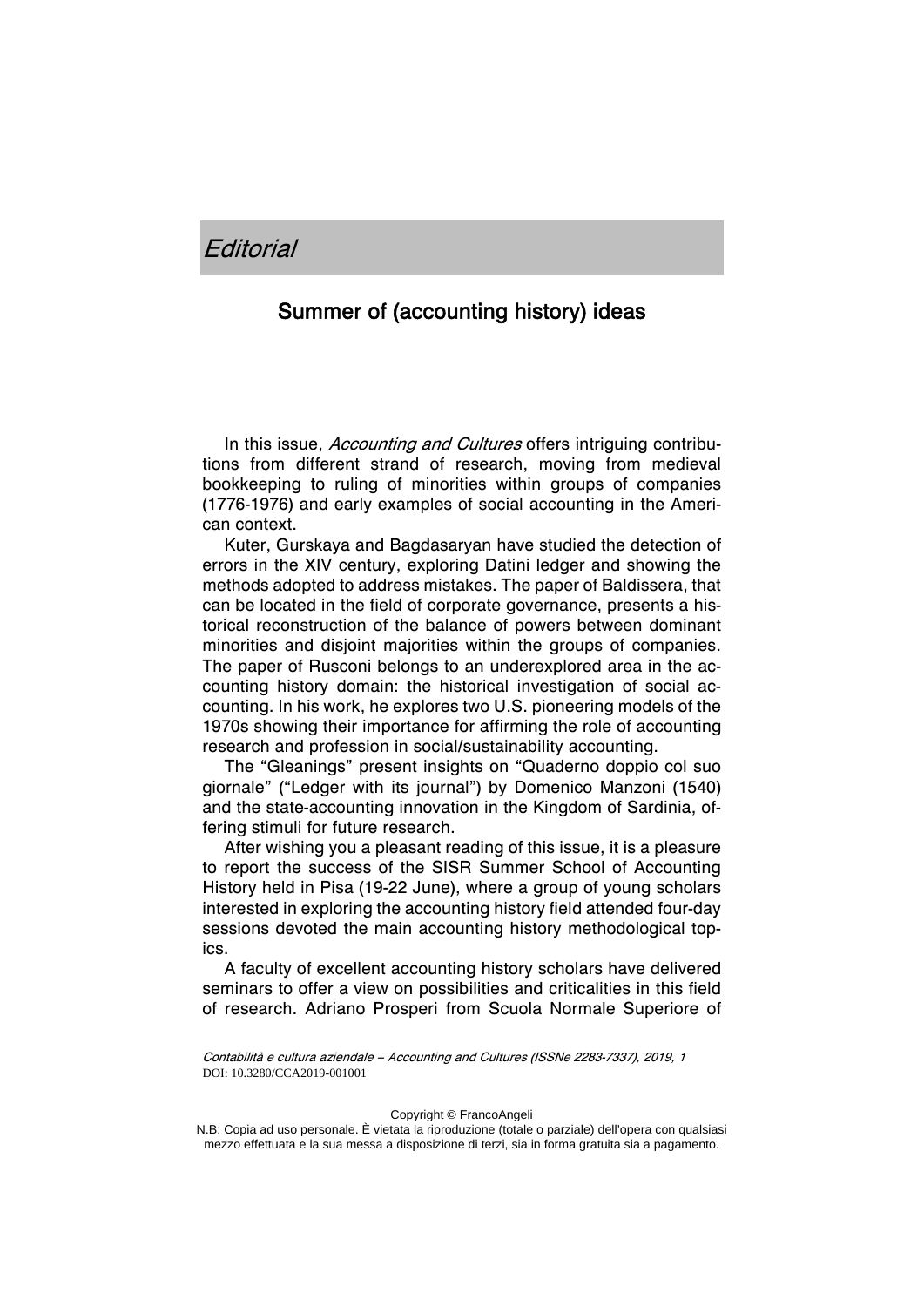## Summer of (accounting history) ideas

In this issue, *Accounting and Cultures* offers intriguing contributions from different strand of research, moving from medieval bookkeeping to ruling of minorities within groups of companies (1776-1976) and early examples of social accounting in the American context.

Kuter, Gurskaya and Bagdasaryan have studied the detection of errors in the XIV century, exploring Datini ledger and showing the methods adopted to address mistakes. The paper of Baldissera, that can be located in the field of corporate governance, presents a historical reconstruction of the balance of powers between dominant minorities and disjoint majorities within the groups of companies. The paper of Rusconi belongs to an underexplored area in the accounting history domain: the historical investigation of social accounting. In his work, he explores two U.S. pioneering models of the 1970s showing their importance for affirming the role of accounting research and profession in social/sustainability accounting.

The "Gleanings" present insights on "Quaderno doppio col suo giornale" ("Ledger with its journal") by Domenico Manzoni (1540) and the state-accounting innovation in the Kingdom of Sardinia, offering stimuli for future research.

After wishing you a pleasant reading of this issue, it is a pleasure to report the success of the SISR Summer School of Accounting History held in Pisa (19-22 June), where a group of young scholars interested in exploring the accounting history field attended four-day sessions devoted the main accounting history methodological topics.

A faculty of excellent accounting history scholars have delivered seminars to offer a view on possibilities and criticalities in this field of research. Adriano Prosperi from Scuola Normale Superiore of

Contabilità e cultura aziendale – Accounting and Cultures (ISSNe 2283-7337), 2019, 1 DOI: 10.3280/CCA2019-001001

Copyright © FrancoAngeli

N.B: Copia ad uso personale. È vietata la riproduzione (totale o parziale) dell'opera con qualsiasi mezzo effettuata e la sua messa a disposizione di terzi, sia in forma gratuita sia a pagamento.